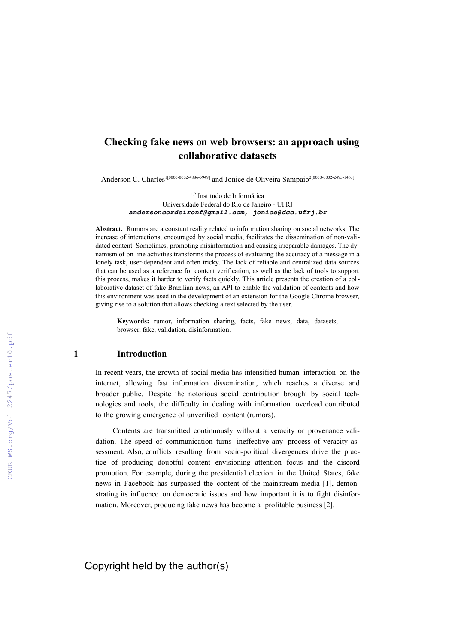# **Checking fake news on web browsers: an approach using collaborative datasets**

Anderson C. Charles<sup>1[0000-0002-4886-5949]</sup> and Jonice de Oliveira Sampaio<sup>2[\[0000-0002-2495-1463\]](https://orcid.org/0000-0002-2495-1463)</sup>

1,2 Institudo de Informática Universidade Federal do Rio de Janeiro - UFRJ **[andersoncordeironf@gmail.com,](mailto:andersoncordeironf@gmail.com) jonice@dcc.ufrj.br**

**Abstract.** Rumors are a constant reality related to information sharing on social networks. The increase of interactions, encouraged by social media, facilitates the dissemination of non-validated content. Sometimes, promoting misinformation and causing irreparable damages. The dynamism of on line activities transforms the process of evaluating the accuracy of a message in a lonely task, user-dependent and often tricky. The lack of reliable and centralized data sources that can be used as a reference for content verification, as well as the lack of tools to support this process, makes it harder to verify facts quickly. This article presents the creation of a collaborative dataset of fake Brazilian news, an API to enable the validation of contents and how this environment was used in the development of an extension for the Google Chrome browser, giving rise to a solution that allows checking a text selected by the user.

**Keywords:** rumor, information sharing, facts, fake news, data, datasets, browser, fake, validation, disinformation.

# **1 Introduction**

In recent years, the growth of social media has intensified human interaction on the internet, allowing fast information dissemination, which reaches a diverse and broader public. Despite the notorious social contribution brought by social technologies and tools, the difficulty in dealing with information overload contributed to the growing emergence of unverified content (rumors).

Contents are transmitted continuously without a veracity or provenance validation. The speed of communication turns ineffective any process of veracity assessment. Also, conflicts resulting from socio-political divergences drive the practice of producing doubtful content envisioning attention focus and the discord promotion. For example, during the presidential election in the United States, fake news in Facebook has surpassed the content of the mainstream media [1], demonstrating its influence on democratic issues and how important it is to fight disinformation. Moreover, producing fake news has become a profitable business [2].

Copyright held by the author(s)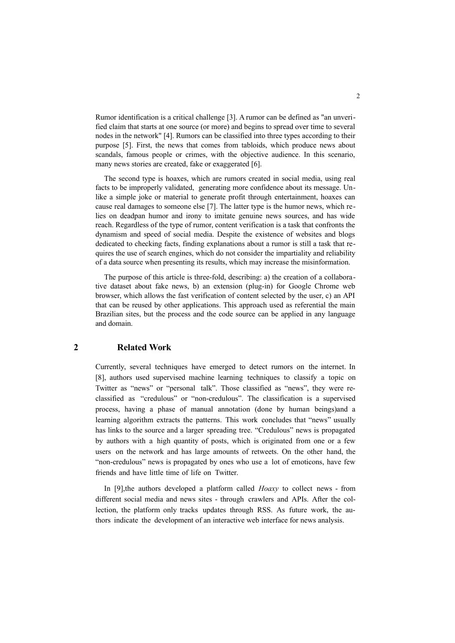Rumor identification is a critical challenge [3]. A rumor can be defined as "an unverified claim that starts at one source (or more) and begins to spread over time to several nodes in the network" [4]. Rumors can be classified into three types according to their purpose [5]. First, the news that comes from tabloids, which produce news about scandals, famous people or crimes, with the objective audience. In this scenario, many news stories are created, fake or exaggerated [6].

The second type is hoaxes, which are rumors created in social media, using real facts to be improperly validated, generating more confidence about its message. Unlike a simple joke or material to generate profit through entertainment, hoaxes can cause real damages to someone else [7]. The latter type is the humor news, which relies on deadpan humor and irony to imitate genuine news sources, and has wide reach. Regardless of the type of rumor, content verification is a task that confronts the dynamism and speed of social media. Despite the existence of websites and blogs dedicated to checking facts, finding explanations about a rumor is still a task that requires the use of search engines, which do not consider the impartiality and reliability of a data source when presenting its results, which may increase the misinformation.

The purpose of this article is three-fold, describing: a) the creation of a collaborative dataset about fake news, b) an extension (plug-in) for Google Chrome web browser, which allows the fast verification of content selected by the user, c) an API that can be reused by other applications. This approach used as referential the main Brazilian sites, but the process and the code source can be applied in any language and domain.

# **2 Related Work**

Currently, several techniques have emerged to detect rumors on the internet. In [8], authors used supervised machine learning techniques to classify a topic on Twitter as "news" or "personal talk". Those classified as "news", they were reclassified as "credulous" or "non-credulous". The classification is a supervised process, having a phase of manual annotation (done by human beings)and a learning algorithm extracts the patterns. This work concludes that "news" usually has links to the source and a larger spreading tree. "Credulous" news is propagated by authors with a high quantity of posts, which is originated from one or a few users on the network and has large amounts of retweets. On the other hand, the "non-credulous" news is propagated by ones who use a lot of emoticons, have few friends and have little time of life on Twitter.

In [9],the authors developed a platform called *Hoaxy* to collect news - from different social media and news sites - through crawlers and APIs. After the collection, the platform only tracks updates through RSS. As future work, the authors indicate the development of an interactive web interface for news analysis.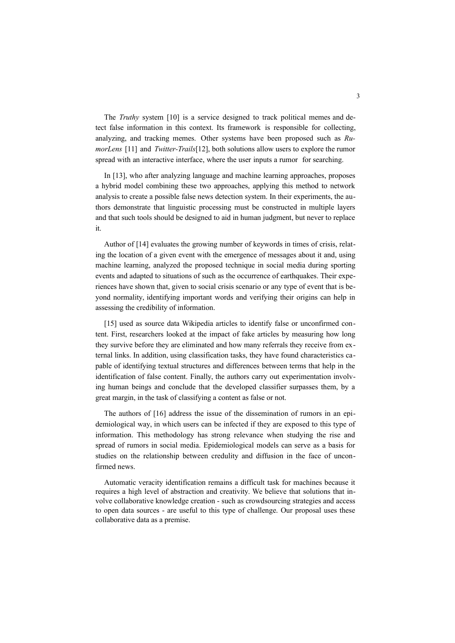The *Truthy* system [10] is a service designed to track political memes and detect false information in this context. Its framework is responsible for collecting, analyzing, and tracking memes. Other systems have been proposed such as *RumorLens* [11] and *Twitter-Trails*[12], both solutions allow users to explore the rumor spread with an interactive interface, where the user inputs a rumor for searching.

In [13], who after analyzing language and machine learning approaches, proposes a hybrid model combining these two approaches, applying this method to network analysis to create a possible false news detection system. In their experiments, the authors demonstrate that linguistic processing must be constructed in multiple layers and that such tools should be designed to aid in human judgment, but never to replace it.

Author of [14] evaluates the growing number of keywords in times of crisis, relating the location of a given event with the emergence of messages about it and, using machine learning, analyzed the proposed technique in social media during sporting events and adapted to situations of such as the occurrence of earthquakes. Their experiences have shown that, given to social crisis scenario or any type of event that is beyond normality, identifying important words and verifying their origins can help in assessing the credibility of information.

[15] used as source data Wikipedia articles to identify false or unconfirmed content. First, researchers looked at the impact of fake articles by measuring how long they survive before they are eliminated and how many referrals they receive from external links. In addition, using classification tasks, they have found characteristics capable of identifying textual structures and differences between terms that help in the identification of false content. Finally, the authors carry out experimentation involving human beings and conclude that the developed classifier surpasses them, by a great margin, in the task of classifying a content as false or not.

The authors of [16] address the issue of the dissemination of rumors in an epidemiological way, in which users can be infected if they are exposed to this type of information. This methodology has strong relevance when studying the rise and spread of rumors in social media. Epidemiological models can serve as a basis for studies on the relationship between credulity and diffusion in the face of unconfirmed news.

Automatic veracity identification remains a difficult task for machines because it requires a high level of abstraction and creativity. We believe that solutions that involve collaborative knowledge creation - such as crowdsourcing strategies and access to open data sources - are useful to this type of challenge. Our proposal uses these collaborative data as a premise.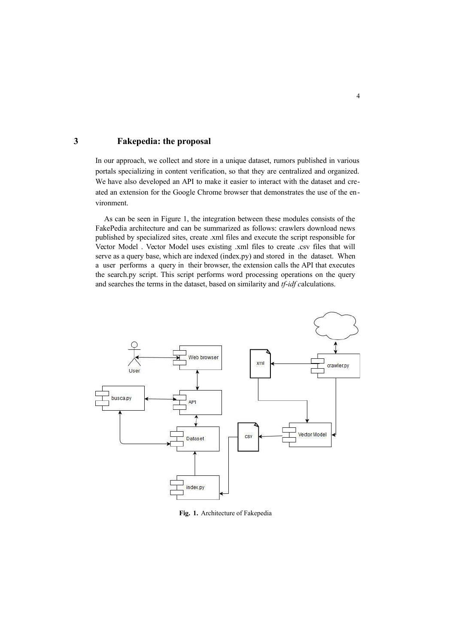# **3 Fakepedia: the proposal**

In our approach, we collect and store in a unique dataset, rumors published in various portals specializing in content verification, so that they are centralized and organized. We have also developed an API to make it easier to interact with the dataset and created an extension for the Google Chrome browser that demonstrates the use of the environment.

As can be seen in Figure 1, the integration between these modules consists of the FakePedia architecture and can be summarized as follows: crawlers download news published by specialized sites, create .xml files and execute the script responsible for Vector Model . Vector Model uses existing .xml files to create .csv files that will serve as a query base, which are indexed (index.py) and stored in the dataset. When a user performs a query in their browser, the extension calls the API that executes the search.py script. This script performs word processing operations on the query and searches the terms in the dataset, based on similarity and *tf*-*idf c*alculations.



**Fig. 1.** Architecture of Fakepedia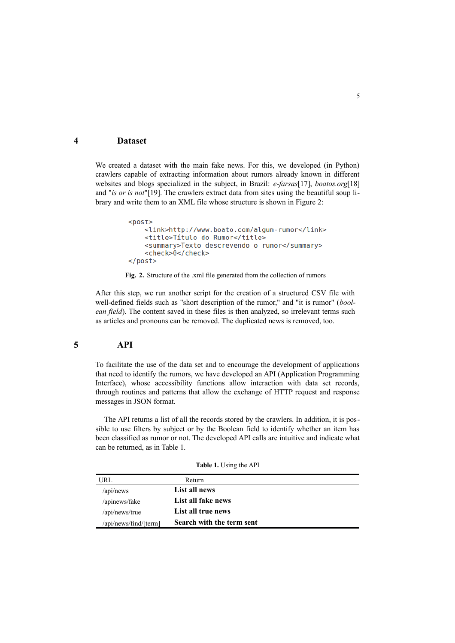## **4 Dataset**

We created a dataset with the main fake news. For this, we developed (in Python) crawlers capable of extracting information about rumors already known in different websites and blogs specialized in the subject, in Brazil: *e-farsas*[17], *boatos.org*[18] and "*is or is not*"[19]. The crawlers extract data from sites using the beautiful soup library and write them to an XML file whose structure is shown in Figure 2:

```
<post>
    <link>http://www.boato.com/algum-rumor</link>
    <title>Título do Rumor</title>
    <summary>Texto descrevendo o rumor</summary>
    <check>0</check>
</post>
```


After this step, we run another script for the creation of a structured CSV file with well-defined fields such as "short description of the rumor," and "it is rumor" (*boolean field*). The content saved in these files is then analyzed, so irrelevant terms such as articles and pronouns can be removed. The duplicated news is removed, too.

#### **5 API**

To facilitate the use of the data set and to encourage the development of applications that need to identify the rumors, we have developed an API (Application Programming Interface), whose accessibility functions allow interaction with data set records, through routines and patterns that allow the exchange of HTTP request and response messages in JSON format.

The API returns a list of all the records stored by the crawlers. In addition, it is possible to use filters by subject or by the Boolean field to identify whether an item has been classified as rumor or not. The developed API calls are intuitive and indicate what can be returned, as in Table 1.

| <b>Table 1.</b> Using the API |  |  |  |  |  |  |  |
|-------------------------------|--|--|--|--|--|--|--|
|-------------------------------|--|--|--|--|--|--|--|

| URL                   | Return                    |  |
|-----------------------|---------------------------|--|
| /api/news             | List all news             |  |
| /apinews/fake         | List all fake news        |  |
| /api/news/true        | List all true news        |  |
| /api/news/find/[term] | Search with the term sent |  |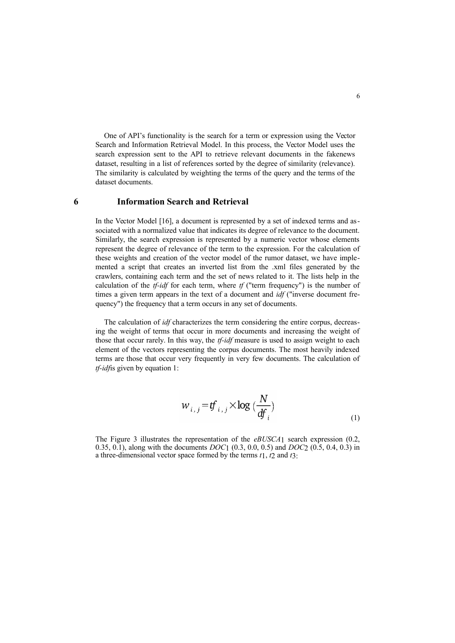One of API's functionality is the search for a term or expression using the Vector Search and Information Retrieval Model. In this process, the Vector Model uses the search expression sent to the API to retrieve relevant documents in the fakenews dataset, resulting in a list of references sorted by the degree of similarity (relevance). The similarity is calculated by weighting the terms of the query and the terms of the dataset documents.

### **6 Information Search and Retrieval**

In the Vector Model [16], a document is represented by a set of indexed terms and associated with a normalized value that indicates its degree of relevance to the document. Similarly, the search expression is represented by a numeric vector whose elements represent the degree of relevance of the term to the expression. For the calculation of these weights and creation of the vector model of the rumor dataset, we have implemented a script that creates an inverted list from the .xml files generated by the crawlers, containing each term and the set of news related to it. The lists help in the calculation of the *tf-idf* for each term, where *tf* ("term frequency") is the number of times a given term appears in the text of a document and *idf* ("inverse document frequency") the frequency that a term occurs in any set of documents.

The calculation of *idf* characterizes the term considering the entire corpus, decreasing the weight of terms that occur in more documents and increasing the weight of those that occur rarely. In this way, the *tf-idf* measure is used to assign weight to each element of the vectors representing the corpus documents. The most heavily indexed terms are those that occur very frequently in very few documents. The calculation of *tf-idf*is given by equation 1:

$$
w_{i,j} = tf_{i,j} \times \log\left(\frac{N}{df_i}\right)
$$
 (1)

The Figure 3 illustrates the representation of the *eBUSCA*1 search expression (0.2, 0.35, 0.1), along with the documents *DOC*1 (0.3, 0.0, 0.5) and *DOC*2 (0.5, 0.4, 0.3) in a three-dimensional vector space formed by the terms *t*1, *t*2 and *t*3: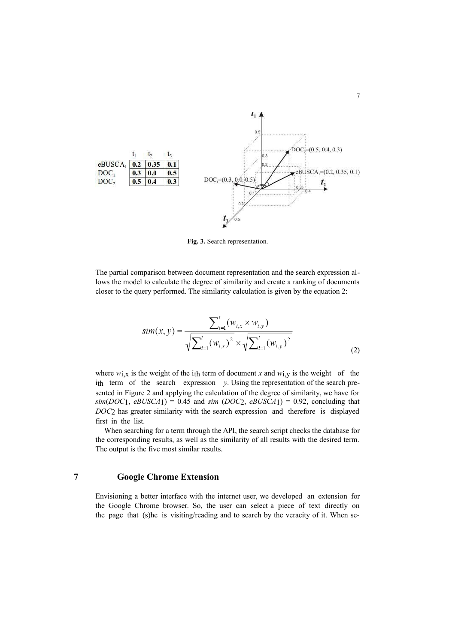

**Fig. 3.** Search representation.

The partial comparison between document representation and the search expression allows the model to calculate the degree of similarity and create a ranking of documents closer to the query performed. The similarity calculation is given by the equation 2:

$$
sim(x, y) = \frac{\sum_{i=1}^{t} (w_{i,x} \times w_{i,y})}{\sqrt{\sum_{i=1}^{t} (w_{i,x})^{2}} \times \sqrt{\sum_{i=1}^{t} (w_{i,y})^{2}}}
$$
(2)

where  $w_{1,X}$  is the weight of the ith term of document *x* and  $w_{1,Y}$  is the weight of the ith term of the search expression *y*. Using the representation of the search presented in Figure 2 and applying the calculation of the degree of similarity, we have for  $sim(DOC_1, eBUSCA_1) = 0.45$  and  $sim(DOC_2, eBUSCA_1) = 0.92$ , concluding that *DOC*2 has greater similarity with the search expression and therefore is displayed first in the list.

When searching for a term through the API, the search script checks the database for the corresponding results, as well as the similarity of all results with the desired term. The output is the five most similar results.

# **7 Google Chrome Extension**

Envisioning a better interface with the internet user, we developed an extension for the Google Chrome browser. So, the user can select a piece of text directly on the page that (s)he is visiting/reading and to search by the veracity of it. When se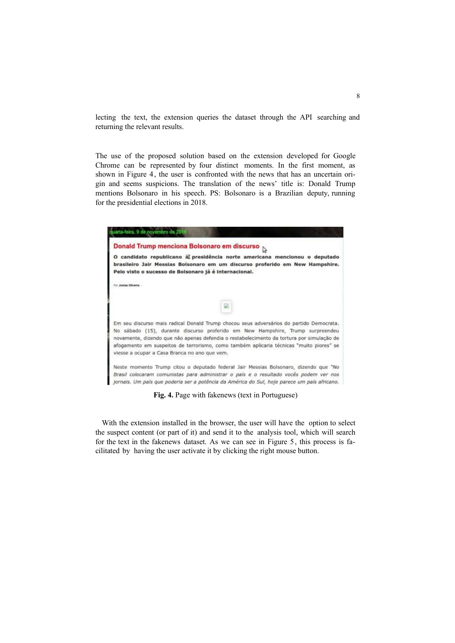lecting the text, the extension queries the dataset through the API searching and returning the relevant results.

The use of the proposed solution based on the extension developed for Google Chrome can be represented by four distinct moments. In the first moment, as shown in Figure 4, the user is confronted with the news that has an uncertain origin and seems suspicions. The translation of the news' title is: Donald Trump mentions Bolsonaro in his speech. PS: Bolsonaro is a Brazilian deputy, running for the presidential elections in 2018.



**Fig. 4.** Page with fakenews (text in Portuguese)

With the extension installed in the browser, the user will have the option to select the suspect content (or part of it) and send it to the analysis tool, which will search for the text in the fakenews dataset. As we can see in Figure 5, this process is facilitated by having the user activate it by clicking the right mouse button.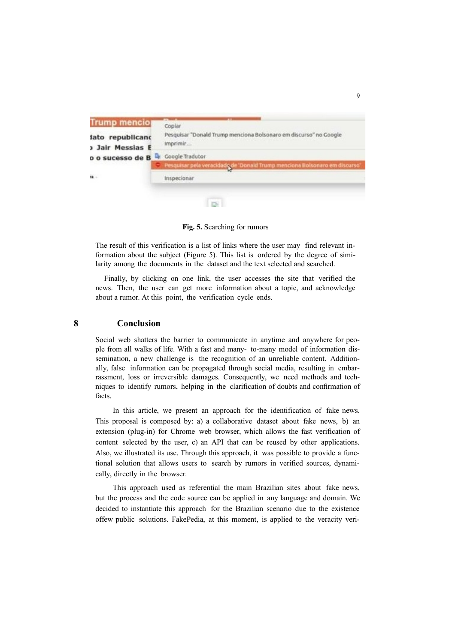

**Fig. 5.** Searching for rumors

The result of this verification is a list of links where the user may find relevant information about the subject (Figure 5). This list is ordered by the degree of similarity among the documents in the dataset and the text selected and searched.

Finally, by clicking on one link, the user accesses the site that verified the news. Then, the user can get more information about a topic, and acknowledge about a rumor. At this point, the verification cycle ends.

# **8 Conclusion**

Social web shatters the barrier to communicate in anytime and anywhere for people from all walks of life. With a fast and many- to-many model of information dissemination, a new challenge is the recognition of an unreliable content. Additionally, false information can be propagated through social media, resulting in embarrassment, loss or irreversible damages. Consequently, we need methods and techniques to identify rumors, helping in the clarification of doubts and confirmation of facts.

In this article, we present an approach for the identification of fake news. This proposal is composed by: a) a collaborative dataset about fake news, b) an extension (plug-in) for Chrome web browser, which allows the fast verification of content selected by the user, c) an API that can be reused by other applications. Also, we illustrated its use. Through this approach, it was possible to provide a functional solution that allows users to search by rumors in verified sources, dynamically, directly in the browser.

This approach used as referential the main Brazilian sites about fake news, but the process and the code source can be applied in any language and domain. We decided to instantiate this approach for the Brazilian scenario due to the existence offew public solutions. FakePedia, at this moment, is applied to the veracity veri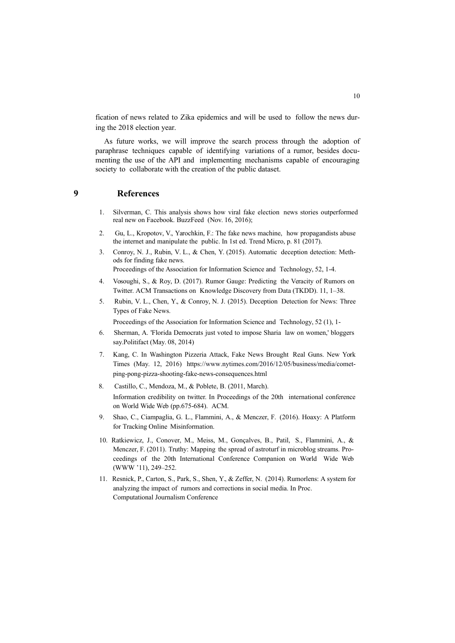fication of news related to Zika epidemics and will be used to follow the news during the 2018 election year.

As future works, we will improve the search process through the adoption of paraphrase techniques capable of identifying variations of a rumor, besides documenting the use of the API and implementing mechanisms capable of encouraging society to collaborate with the creation of the public dataset.

# **9 References**

- 1. Silverman, C. This analysis shows how viral fake election news stories outperformed real new on Facebook. BuzzFeed (Nov. 16, 2016);
- 2. Gu, L., Kropotov, V., Yarochkin, F.: The fake news machine, how propagandists abuse the internet and manipulate the public. In 1st ed. Trend Micro, p. 81 (2017).
- 3. Conroy, N. J., Rubin, V. L., & Chen, Y. (2015). Automatic deception detection: Methods for finding fake news.

Proceedings of the Association for Information Science and Technology, 52, 1-4.

- 4. Vosoughi, S., & Roy, D. (2017). Rumor Gauge: Predicting the Veracity of Rumors on Twitter. ACM Transactions on Knowledge Discovery from Data (TKDD). 11, 1–38.
- 5. Rubin, V. L., Chen, Y., & Conroy, N. J. (2015). Deception Detection for News: Three Types of Fake News.

Proceedings of the Association for Information Science and Technology, 52 (1), 1-

- 6. Sherman, A. 'Florida Democrats just voted to impose Sharia law on women,' bloggers say.Politifact (May. 08, 2014)
- 7. Kang, C. In Washington Pizzeria Attack, Fake News Brought Real Guns. New York Times (May. 12, 2016) https:[//www.nytimes.com/2016/12/05/business/media/comet](http://www.nytimes.com/2016/12/05/business/media/comet-)ping-pong-pizza-shooting-fake-news-consequences.html
- 8. Castillo, C., Mendoza, M., & Poblete, B. (2011, March). Information credibility on twitter. In Proceedings of the 20th international conference on World Wide Web (pp.675-684). ACM.
- 9. Shao, C., Ciampaglia, G. L., Flammini, A., & Menczer, F. (2016). Hoaxy: A Platform for Tracking Online Misinformation.
- 10. Ratkiewicz, J., Conover, M., Meiss, M., Gonçalves, B., Patil, S., Flammini, A., & Menczer, F. (2011). Truthy: Mapping the spread of astroturf in microblog streams. Proceedings of the 20th International Conference Companion on World Wide Web (WWW '11), 249–252.
- 11. Resnick, P., Carton, S., Park, S., Shen, Y., & Zeffer, N. (2014). Rumorlens: A system for analyzing the impact of rumors and corrections in social media. In Proc. Computational Journalism Conference